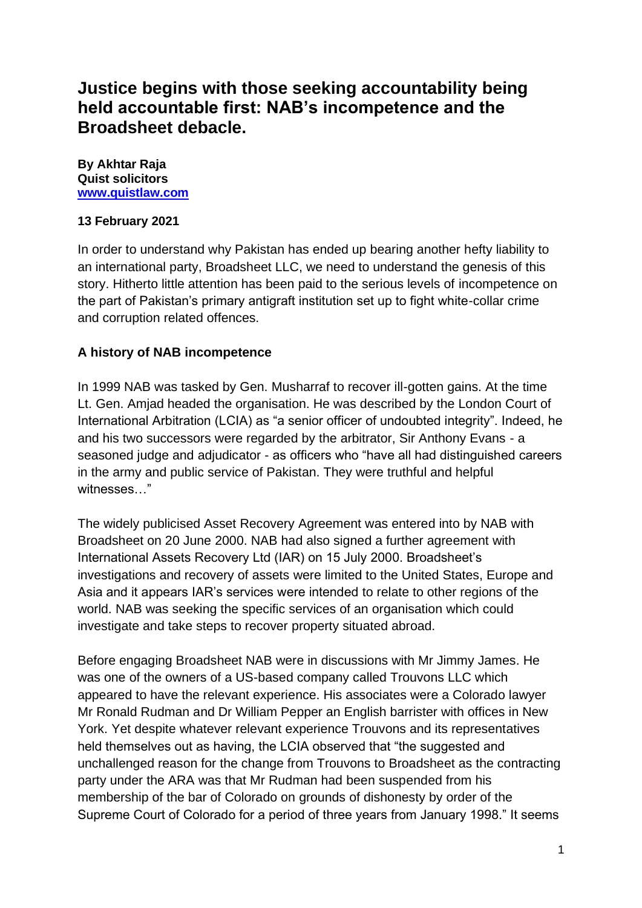# **Justice begins with those seeking accountability being held accountable first: NAB's incompetence and the Broadsheet debacle.**

**By Akhtar Raja Quist solicitors [www.quistlaw.com](http://www.quistlaw.com/)** 

#### **13 February 2021**

In order to understand why Pakistan has ended up bearing another hefty liability to an international party, Broadsheet LLC, we need to understand the genesis of this story. Hitherto little attention has been paid to the serious levels of incompetence on the part of Pakistan's primary antigraft institution set up to fight white-collar crime and corruption related offences.

#### **A history of NAB incompetence**

In 1999 NAB was tasked by Gen. Musharraf to recover ill-gotten gains. At the time Lt. Gen. Amjad headed the organisation. He was described by the London Court of International Arbitration (LCIA) as "a senior officer of undoubted integrity". Indeed, he and his two successors were regarded by the arbitrator, Sir Anthony Evans - a seasoned judge and adjudicator - as officers who "have all had distinguished careers in the army and public service of Pakistan. They were truthful and helpful witnesses…"

The widely publicised Asset Recovery Agreement was entered into by NAB with Broadsheet on 20 June 2000. NAB had also signed a further agreement with International Assets Recovery Ltd (IAR) on 15 July 2000. Broadsheet's investigations and recovery of assets were limited to the United States, Europe and Asia and it appears IAR's services were intended to relate to other regions of the world. NAB was seeking the specific services of an organisation which could investigate and take steps to recover property situated abroad.

Before engaging Broadsheet NAB were in discussions with Mr Jimmy James. He was one of the owners of a US-based company called Trouvons LLC which appeared to have the relevant experience. His associates were a Colorado lawyer Mr Ronald Rudman and Dr William Pepper an English barrister with offices in New York. Yet despite whatever relevant experience Trouvons and its representatives held themselves out as having, the LCIA observed that "the suggested and unchallenged reason for the change from Trouvons to Broadsheet as the contracting party under the ARA was that Mr Rudman had been suspended from his membership of the bar of Colorado on grounds of dishonesty by order of the Supreme Court of Colorado for a period of three years from January 1998." It seems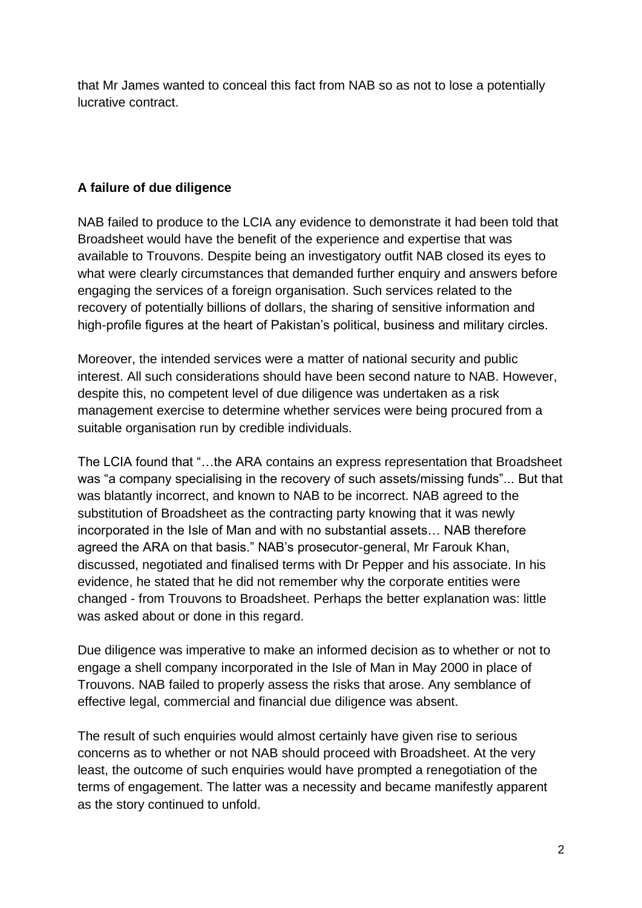that Mr James wanted to conceal this fact from NAB so as not to lose a potentially lucrative contract.

# **A failure of due diligence**

NAB failed to produce to the LCIA any evidence to demonstrate it had been told that Broadsheet would have the benefit of the experience and expertise that was available to Trouvons. Despite being an investigatory outfit NAB closed its eyes to what were clearly circumstances that demanded further enquiry and answers before engaging the services of a foreign organisation. Such services related to the recovery of potentially billions of dollars, the sharing of sensitive information and high-profile figures at the heart of Pakistan's political, business and military circles.

Moreover, the intended services were a matter of national security and public interest. All such considerations should have been second nature to NAB. However, despite this, no competent level of due diligence was undertaken as a risk management exercise to determine whether services were being procured from a suitable organisation run by credible individuals.

The LCIA found that "…the ARA contains an express representation that Broadsheet was "a company specialising in the recovery of such assets/missing funds"... But that was blatantly incorrect, and known to NAB to be incorrect. NAB agreed to the substitution of Broadsheet as the contracting party knowing that it was newly incorporated in the Isle of Man and with no substantial assets… NAB therefore agreed the ARA on that basis." NAB's prosecutor-general, Mr Farouk Khan, discussed, negotiated and finalised terms with Dr Pepper and his associate. In his evidence, he stated that he did not remember why the corporate entities were changed - from Trouvons to Broadsheet. Perhaps the better explanation was: little was asked about or done in this regard.

Due diligence was imperative to make an informed decision as to whether or not to engage a shell company incorporated in the Isle of Man in May 2000 in place of Trouvons. NAB failed to properly assess the risks that arose. Any semblance of effective legal, commercial and financial due diligence was absent.

The result of such enquiries would almost certainly have given rise to serious concerns as to whether or not NAB should proceed with Broadsheet. At the very least, the outcome of such enquiries would have prompted a renegotiation of the terms of engagement. The latter was a necessity and became manifestly apparent as the story continued to unfold.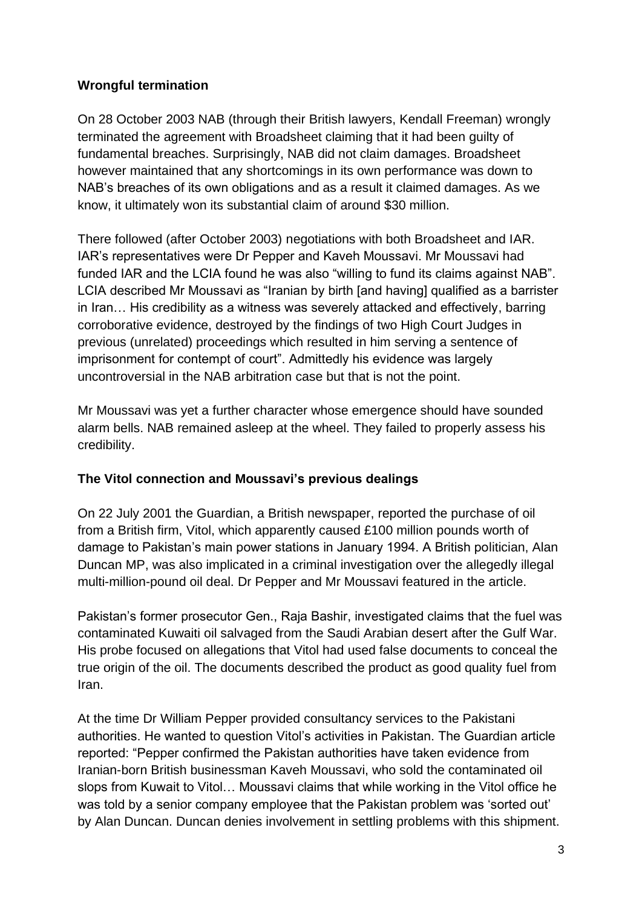## **Wrongful termination**

On 28 October 2003 NAB (through their British lawyers, Kendall Freeman) wrongly terminated the agreement with Broadsheet claiming that it had been guilty of fundamental breaches. Surprisingly, NAB did not claim damages. Broadsheet however maintained that any shortcomings in its own performance was down to NAB's breaches of its own obligations and as a result it claimed damages. As we know, it ultimately won its substantial claim of around \$30 million.

There followed (after October 2003) negotiations with both Broadsheet and IAR. IAR's representatives were Dr Pepper and Kaveh Moussavi. Mr Moussavi had funded IAR and the LCIA found he was also "willing to fund its claims against NAB". LCIA described Mr Moussavi as "Iranian by birth [and having] qualified as a barrister in Iran… His credibility as a witness was severely attacked and effectively, barring corroborative evidence, destroyed by the findings of two High Court Judges in previous (unrelated) proceedings which resulted in him serving a sentence of imprisonment for contempt of court". Admittedly his evidence was largely uncontroversial in the NAB arbitration case but that is not the point.

Mr Moussavi was yet a further character whose emergence should have sounded alarm bells. NAB remained asleep at the wheel. They failed to properly assess his credibility.

## **The Vitol connection and Moussavi's previous dealings**

On 22 July 2001 the Guardian, a British newspaper, reported the purchase of oil from a British firm, Vitol, which apparently caused £100 million pounds worth of damage to Pakistan's main power stations in January 1994. A British politician, Alan Duncan MP, was also implicated in a criminal investigation over the allegedly illegal multi-million-pound oil deal. Dr Pepper and Mr Moussavi featured in the article.

Pakistan's former prosecutor Gen., Raja Bashir, investigated claims that the fuel was contaminated Kuwaiti oil salvaged from the Saudi Arabian desert after the Gulf War. His probe focused on allegations that Vitol had used false documents to conceal the true origin of the oil. The documents described the product as good quality fuel from Iran.

At the time Dr William Pepper provided consultancy services to the Pakistani authorities. He wanted to question Vitol's activities in Pakistan. The Guardian article reported: "Pepper confirmed the Pakistan authorities have taken evidence from Iranian-born British businessman Kaveh Moussavi, who sold the contaminated oil slops from Kuwait to Vitol… Moussavi claims that while working in the Vitol office he was told by a senior company employee that the Pakistan problem was 'sorted out' by Alan Duncan. Duncan denies involvement in settling problems with this shipment.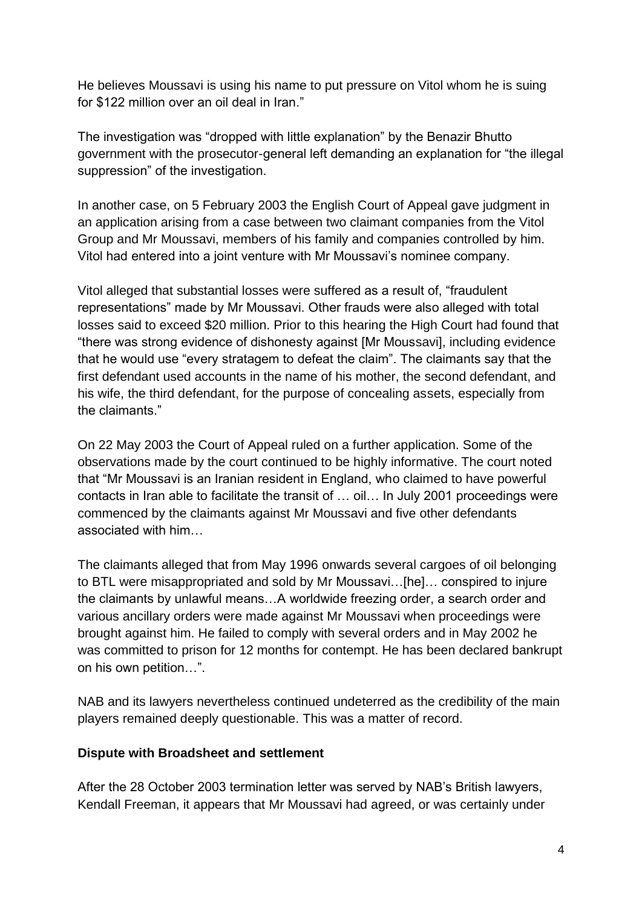He believes Moussavi is using his name to put pressure on Vitol whom he is suing for \$122 million over an oil deal in Iran."

The investigation was "dropped with little explanation" by the Benazir Bhutto government with the prosecutor-general left demanding an explanation for "the illegal suppression" of the investigation.

In another case, on 5 February 2003 the English Court of Appeal gave judgment in an application arising from a case between two claimant companies from the Vitol Group and Mr Moussavi, members of his family and companies controlled by him. Vitol had entered into a joint venture with Mr Moussavi's nominee company.

Vitol alleged that substantial losses were suffered as a result of, "fraudulent representations" made by Mr Moussavi. Other frauds were also alleged with total losses said to exceed \$20 million. Prior to this hearing the High Court had found that "there was strong evidence of dishonesty against [Mr Moussavi], including evidence that he would use "every stratagem to defeat the claim". The claimants say that the first defendant used accounts in the name of his mother, the second defendant, and his wife, the third defendant, for the purpose of concealing assets, especially from the claimants."

On 22 May 2003 the Court of Appeal ruled on a further application. Some of the observations made by the court continued to be highly informative. The court noted that "Mr Moussavi is an Iranian resident in England, who claimed to have powerful contacts in Iran able to facilitate the transit of … oil… In July 2001 proceedings were commenced by the claimants against Mr Moussavi and five other defendants associated with him…

The claimants alleged that from May 1996 onwards several cargoes of oil belonging to BTL were misappropriated and sold by Mr Moussavi…[he]… conspired to injure the claimants by unlawful means…A worldwide freezing order, a search order and various ancillary orders were made against Mr Moussavi when proceedings were brought against him. He failed to comply with several orders and in May 2002 he was committed to prison for 12 months for contempt. He has been declared bankrupt on his own petition…".

NAB and its lawyers nevertheless continued undeterred as the credibility of the main players remained deeply questionable. This was a matter of record.

## **Dispute with Broadsheet and settlement**

After the 28 October 2003 termination letter was served by NAB's British lawyers, Kendall Freeman, it appears that Mr Moussavi had agreed, or was certainly under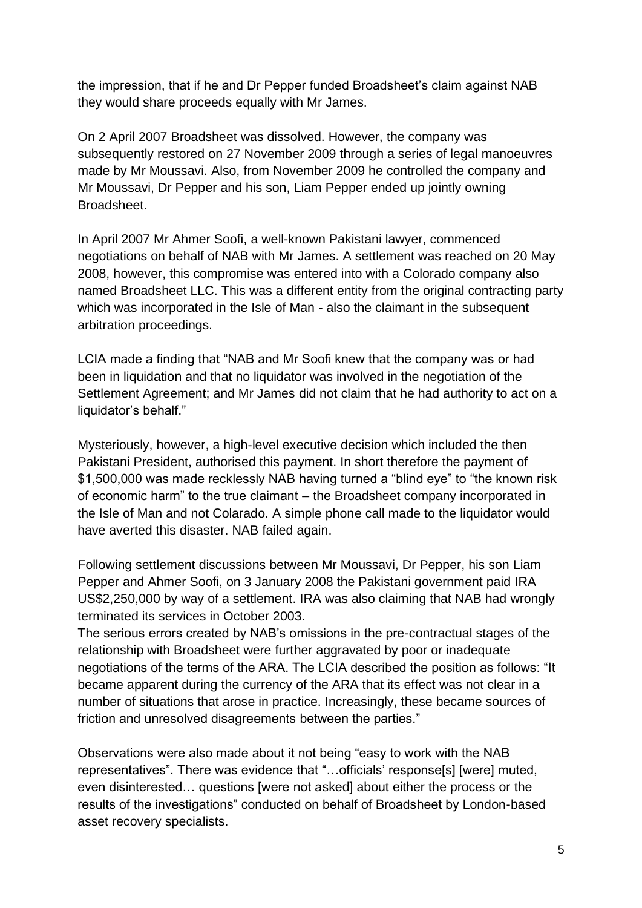the impression, that if he and Dr Pepper funded Broadsheet's claim against NAB they would share proceeds equally with Mr James.

On 2 April 2007 Broadsheet was dissolved. However, the company was subsequently restored on 27 November 2009 through a series of legal manoeuvres made by Mr Moussavi. Also, from November 2009 he controlled the company and Mr Moussavi, Dr Pepper and his son, Liam Pepper ended up jointly owning Broadsheet.

In April 2007 Mr Ahmer Soofi, a well-known Pakistani lawyer, commenced negotiations on behalf of NAB with Mr James. A settlement was reached on 20 May 2008, however, this compromise was entered into with a Colorado company also named Broadsheet LLC. This was a different entity from the original contracting party which was incorporated in the Isle of Man - also the claimant in the subsequent arbitration proceedings.

LCIA made a finding that "NAB and Mr Soofi knew that the company was or had been in liquidation and that no liquidator was involved in the negotiation of the Settlement Agreement; and Mr James did not claim that he had authority to act on a liquidator's behalf."

Mysteriously, however, a high-level executive decision which included the then Pakistani President, authorised this payment. In short therefore the payment of \$1,500,000 was made recklessly NAB having turned a "blind eye" to "the known risk of economic harm" to the true claimant – the Broadsheet company incorporated in the Isle of Man and not Colarado. A simple phone call made to the liquidator would have averted this disaster. NAB failed again.

Following settlement discussions between Mr Moussavi, Dr Pepper, his son Liam Pepper and Ahmer Soofi, on 3 January 2008 the Pakistani government paid IRA US\$2,250,000 by way of a settlement. IRA was also claiming that NAB had wrongly terminated its services in October 2003.

The serious errors created by NAB's omissions in the pre-contractual stages of the relationship with Broadsheet were further aggravated by poor or inadequate negotiations of the terms of the ARA. The LCIA described the position as follows: "It became apparent during the currency of the ARA that its effect was not clear in a number of situations that arose in practice. Increasingly, these became sources of friction and unresolved disagreements between the parties."

Observations were also made about it not being "easy to work with the NAB representatives". There was evidence that "…officials' response[s] [were] muted, even disinterested… questions [were not asked] about either the process or the results of the investigations" conducted on behalf of Broadsheet by London-based asset recovery specialists.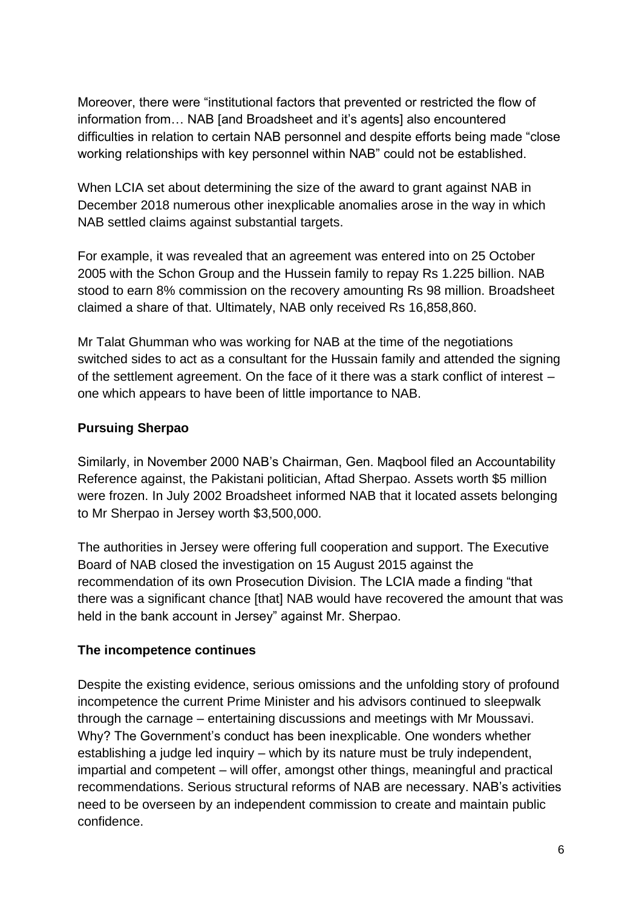Moreover, there were "institutional factors that prevented or restricted the flow of information from… NAB [and Broadsheet and it's agents] also encountered difficulties in relation to certain NAB personnel and despite efforts being made "close working relationships with key personnel within NAB" could not be established.

When LCIA set about determining the size of the award to grant against NAB in December 2018 numerous other inexplicable anomalies arose in the way in which NAB settled claims against substantial targets.

For example, it was revealed that an agreement was entered into on 25 October 2005 with the Schon Group and the Hussein family to repay Rs 1.225 billion. NAB stood to earn 8% commission on the recovery amounting Rs 98 million. Broadsheet claimed a share of that. Ultimately, NAB only received Rs 16,858,860.

Mr Talat Ghumman who was working for NAB at the time of the negotiations switched sides to act as a consultant for the Hussain family and attended the signing of the settlement agreement. On the face of it there was a stark conflict of interest – one which appears to have been of little importance to NAB.

# **Pursuing Sherpao**

Similarly, in November 2000 NAB's Chairman, Gen. Maqbool filed an Accountability Reference against, the Pakistani politician, Aftad Sherpao. Assets worth \$5 million were frozen. In July 2002 Broadsheet informed NAB that it located assets belonging to Mr Sherpao in Jersey worth \$3,500,000.

The authorities in Jersey were offering full cooperation and support. The Executive Board of NAB closed the investigation on 15 August 2015 against the recommendation of its own Prosecution Division. The LCIA made a finding "that there was a significant chance [that] NAB would have recovered the amount that was held in the bank account in Jersey" against Mr. Sherpao.

## **The incompetence continues**

Despite the existing evidence, serious omissions and the unfolding story of profound incompetence the current Prime Minister and his advisors continued to sleepwalk through the carnage – entertaining discussions and meetings with Mr Moussavi. Why? The Government's conduct has been inexplicable. One wonders whether establishing a judge led inquiry – which by its nature must be truly independent, impartial and competent – will offer, amongst other things, meaningful and practical recommendations. Serious structural reforms of NAB are necessary. NAB's activities need to be overseen by an independent commission to create and maintain public confidence.